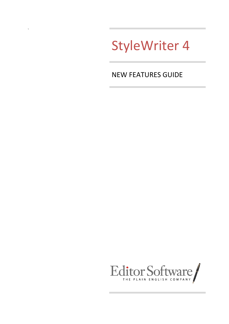# StyleWriter 4

`

# NEW FEATURES GUIDE

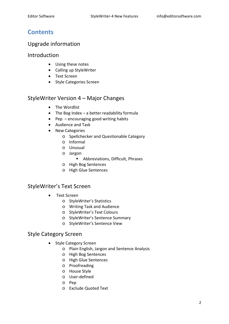### **Contents**

### Upgrade information

### Introduction

- Using these notes
- Calling up StyleWriter
- Text Screen
- Style Categories Screen

### StyleWriter Version 4 – Major Changes

- The Wordlist
- The Bog Index a better readability formula
- Pep encouraging good writing habits
- Audience and Task
- New Categories
	- o Spellchecker and Questionable Category
	- o Informal
	- o Unusual
	- o Jargon
		- Abbreviations, Difficult, Phrases
	- o High Bog Sentences
	- o High Glue Sentences

### StyleWriter's Text Screen

- **Text Screen** 
	- o StyleWriter's Statistics
	- o Writing Task and Audience
	- o StyleWriter's Text Colours
	- o StyleWriter's Sentence Summary
	- o StyleWriter's Sentence View

### Style Category Screen

- Style Category Screen
	- o Plain English, Jargon and Sentence Analysis
	- o High Bog Sentences
	- o High Glue Sentences
	- o Proofreading
	- o House Style
	- o User‐defined
	- o Pep
	- o Exclude Quoted Text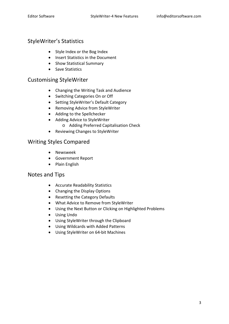### StyleWriter's Statistics

- Style Index or the Bog Index
- Insert Statistics in the Document
- Show Statistical Summary
- Save Statistics

### Customising StyleWriter

- Changing the Writing Task and Audience
- Switching Categories On or Off
- Setting StyleWriter's Default Category
- Removing Advice from StyleWriter
- Adding to the Spellchecker
- Adding Advice to StyleWriter o Adding Preferred Capitalisation Check
- Reviewing Changes to StyleWriter

### Writing Styles Compared

- Newsweek
- Government Report
- Plain English

### Notes and Tips

- Accurate Readability Statistics
- Changing the Display Options
- Resetting the Category Defaults
- What Advice to Remove from StyleWriter
- Using the Next Button or Clicking on Highlighted Problems
- Using Undo
- Using StyleWriter through the Clipboard
- Using Wildcards with Added Patterns
- Using StyleWriter on 64‐bit Machines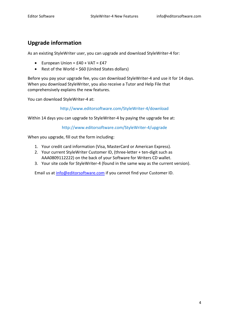### **Upgrade information**

As an existing StyleWriter user, you can upgrade and download StyleWriter‐4 for:

- European Union =  $£40 + VAT = £47$
- Rest of the World = \$60 (United States dollars)

Before you pay your upgrade fee, you can download StyleWriter‐4 and use it for 14 days. When you download StyleWriter, you also receive a Tutor and Help File that comprehensively explains the new features.

You can download StyleWriter‐4 at:

http://www.editorsoftware.com/StyleWriter‐4/download

Within 14 days you can upgrade to StyleWriter-4 by paying the upgrade fee at:

http://www.editorsoftware.com/StyleWriter‐4/upgrade

When you upgrade, fill out the form including:

- 1. Your credit card information (Visa, MasterCard or American Express).
- 2. Your current StyleWriter Customer ID, (three-letter + ten-digit such as AAA0809112222) on the back of your Software for Writers CD wallet.
- 3. Your site code for StyleWriter‐4 (found in the same way as the current version).

Email us at [info@editorsoftware.com](mailto:info@editorsoftware.com) if you cannot find your Customer ID.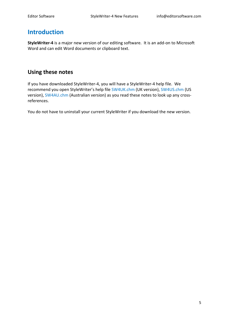### **Introduction**

**StyleWriter‐4** is a major new version of our editing software. It is an add‐on to Microsoft Word and can edit Word documents or clipboard text.

### **Using these notes**

If you have downloaded StyleWriter‐4, you will have a StyleWriter‐4 help file. We recommend you open StyleWriter's help file SW4UK.chm (UK version), SW4US.chm (US version), SW4AU.chm (Australian version) as you read these notes to look up any crossreferences.

You do not have to uninstall your current StyleWriter if you download the new version.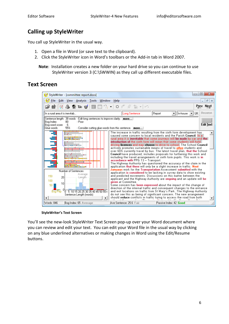### **Calling up StyleWriter**

You call up StyleWriter in the usual way.

- 1. Open a file in Word (or save text to the clipboard).
- 2. Click the StyleWriter icon in Word's toolbars or the Add‐in tab in Word 2007.

**Note**: Installation creates a new folder on your hard drive so you can continue to use StyleWriter version 3 (C:\SWWIN) as they call up different executable files.

### **Text Screen**



#### **StyleWriter's Text Screen**

You'll see the new‐look StyleWriter Text Screen pop‐up over your Word document where you can review and edit your text. You can edit your Word file in the usual way by clicking on any blue underlined alternatives or making changes in Word using the Edit/Resume buttons.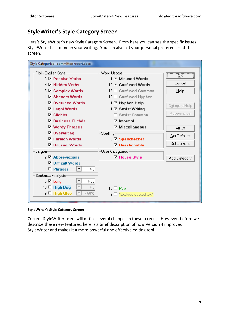### **StyleWriter's Style Category Screen**

Here's StyleWriter's new Style Category Screen. From here you can see the specific issues StyleWriter has found in your writing. You can also set your personal preferences at this screen.

| Style Categories - committee report.docx |                                                   |                 |                                |                     |
|------------------------------------------|---------------------------------------------------|-----------------|--------------------------------|---------------------|
| Plain English Style                      |                                                   | Word Usage      |                                |                     |
|                                          | $13\overline{V}$ Passive Verbs                    |                 | 1 区 Misused Words              |                     |
|                                          | 4 Ø Hidden Verbs                                  |                 | 19 Ø Confused Words            | Cancel              |
|                                          | 15 区 Complex Words                                |                 | 18 □ Confused Common           | $He$ lp             |
|                                          | 1 <b><math>\overline{V}</math></b> Abstract Words |                 | 12 □ Confused Hyphen           |                     |
|                                          | 1 区 Overused Words                                |                 | 1 M Hyphen Help                | Category Help       |
|                                          | 1 <b>⊽</b> Legal Words                            |                 | 1 区 Sexist Writing             |                     |
|                                          | $\nabla$ Clichés                                  |                 | □ Sexist Common                | Appearance          |
|                                          | $\nabla$ Business Clichés                         |                 | $\triangledown$ Informal       |                     |
|                                          | 11 区 Wordy Phrases                                |                 | $\nabla$ Miscellaneous         | All Off             |
|                                          | 1 <b>☑</b> Overwriting                            | Spelling        |                                | <b>Get Defaults</b> |
|                                          | $\nabla$ Foreign Words                            |                 | 5 Ø Spellchecker               | Set Defaults        |
|                                          | $\nabla$ Unusual Words                            |                 | $\nabla$ Questionable          |                     |
| Jargon                                   |                                                   | User Categories |                                |                     |
|                                          | 2 <b><math>\overline{V}</math></b> Abbreviations  |                 | <b>□ House Style</b>           | Add Category        |
|                                          | <b><math>⊓</math></b> Difficult Words             |                 |                                |                     |
|                                          | $\geq 3$<br>$1 \Box$ Phrases<br>▼∣                |                 |                                |                     |
| Sentence Analysis                        |                                                   |                 |                                |                     |
| $5 \nabla$ Long                          | > 35                                              |                 |                                |                     |
|                                          | 10 E High Bog<br>> 6                              | $10 \Box$ Pep   |                                |                     |
|                                          | 9 <sup>[1</sup> High Glue<br>$> 50\%$             |                 | $2 \Box$ "Exclude quoted text" |                     |
|                                          |                                                   |                 |                                |                     |

**StyleWriter's Style Category Screen**

Current StyleWriter users will notice several changes in these screens. However, before we describe these new features, here is a brief description of how Version 4 improves StyleWriter and makes it a more powerful and effective editing tool.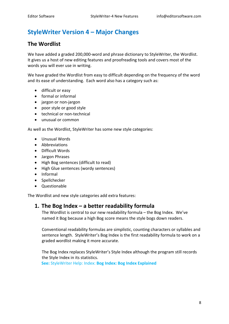# **StyleWriter Version 4 – Major Changes**

### **The Wordlist**

We have added a graded 200,000-word and phrase dictionary to StyleWriter, the Wordlist. It gives us a host of new editing features and proofreading tools and covers most of the words you will ever use in writing.

We have graded the Wordlist from easy to difficult depending on the frequency of the word and its ease of understanding. Each word also has a category such as:

- difficult or easy
- formal or informal
- jargon or non-jargon
- poor style or good style
- technical or non-technical
- unusual or common

As well as the Wordlist, StyleWriter has some new style categories:

- Unusual Words
- Abbreviations
- Difficult Words
- Jargon Phrases
- High Bog sentences (difficult to read)
- High Glue sentences (wordy sentences)
- Informal
- Spellchecker
- Questionable

The Wordlist and new style categories add extra features:

### **1. The Bog Index – a better readability formula**

The Wordlist is central to our new readability formula – the Bog Index. We've named it Bog because a high Bog score means the style bogs down readers.

Conventional readability formulas are simplistic, counting characters or syllables and sentence length. StyleWriter's Bog Index is the first readability formula to work on a graded wordlist making it more accurate.

The Bog Index replaces StyleWriter's Style Index although the program still records the Style Index in its statistics. **See:** StyleWriter Help: Index: **Bog Index: Bog Index Explained**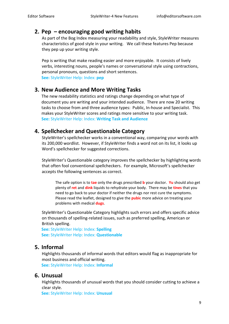### **2. Pep – encouraging good writing habits**

As part of the Bog Index measuring your readability and style, StyleWriter measures characteristics of good style in your writing. We call these features Pep because they pep up your writing style.

Pep is writing that make reading easier and more enjoyable. It consists of lively verbs, interesting nouns, people's names or conversational style using contractions, personal pronouns, questions and short sentences. **See:** StyleWriter Help: Index: **pep**

### **3. New Audience and More Writing Tasks**

The new readability statistics and ratings change depending on what type of document you are writing and your intended audience. There are now 20 writing tasks to choose from and three audience types: Public, In‐house and Specialist. This makes your StyleWriter scores and ratings more sensitive to your writing task. **See:** StyleWriter Help: Index: **Writing Task and Audience**

### **4. Spellchecker and Questionable Category**

StyleWriter's spellchecker works in a conventional way, comparing your words with its 200,000 wordlist. However, if StyleWriter finds a word not on its list, it looks up Word's spellchecker for suggested corrections.

StyleWriter's Questionable category improves the spellchecker by highlighting words that often fool conventional spellcheckers. For example, Microsoft's spellchecker accepts the following sentences as correct.

The safe option is to **tae** only the drugs prescribed **b** your doctor. **Yu** should also get plenty of **ret** and **dink** liquids to rehydrate your body. There may be **tines** that you need to go back to your doctor if neither the drugs nor rest cure the symptoms. Please read the leaflet, designed to give the **pubic** more advice on treating your problems with medical **dugs**.

StyleWriter's Questionable Category highlights such errors and offers specific advice on thousands of spelling‐related issues, such as preferred spelling, American or British spelling.

**See:** StyleWriter Help: Index: **Spelling See:** StyleWriter Help: Index: **Questionable**

### **5. Informal**

Highlights thousands of informal words that editors would flag as inappropriate for most business and official writing.

**See:** StyleWriter Help: Index: **Informal**

### **6. Unusual**

Highlights thousands of unusual words that you should consider cutting to achieve a clear style.

**See:** StyleWriter Help: Index: **Unusual**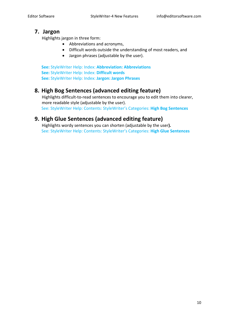### **7. Jargon**

Highlights jargon in three form:

- Abbreviations and acronyms,
- Difficult words outside the understanding of most readers, and
- Jargon phrases (adjustable by the user).

**See:** StyleWriter Help: Index: **Abbreviation: Abbreviations See:** StyleWriter Help: Index: **Difficult words See:** StyleWriter Help: Index: **Jargon: Jargon Phrases**

### **8. High Bog Sentences (advanced editing feature)**

Highlights difficult‐to‐read sentences to encourage you to edit them into clearer, more readable style (adjustable by the user). See: StyleWriter Help: Contents: StyleWriter's Categories: **High Bog Sentences**

### **9. High Glue Sentences (advanced editing feature)**

Highlights wordy sentences you can shorten (adjustable by the user**).** See: StyleWriter Help: Contents: StyleWriter's Categories: **High Glue Sentences**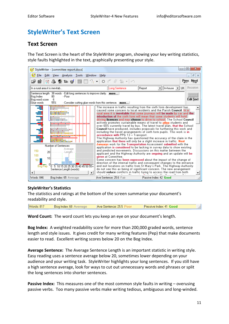## **StyleWriter's Text Screen**

### **Text Screen**

The Text Screen is the heart of the StyleWriter program, showing your key writing statistics, style faults highlighted in the text, graphically presenting your style.



#### **StyleWriter's Statistics**

The statistics and ratings at the bottom of the screen summarise your document's readability and style.

Words: 817 Bog Index: 68 Average Ave Sentence: 25.5 Poor Passive Index: 41 Good

**Word Count:** The word count lets you keep an eye on your document's length.

**Bog Index:** A weighted readability score for more than 200,000 graded words, sentence length and style issues. It gives credit for many writing features (Pep) that make documents easier to read. Excellent writing scores below 20 on the Bog Index.

**Average Sentence:** The Average Sentence Length is an important statistic in writing style. Easy reading uses a sentence average below 20, sometimes lower depending on your audience and your writing task. StyleWriter highlights your long sentences. If you still have a high sentence average, look for ways to cut out unnecessary words and phrases or split the long sentences into shorter sentences.

**Passive Index:** This measures one of the most common style faults in writing – overusing passive verbs. Too many passive verbs make writing tedious, ambiguous and long‐winded.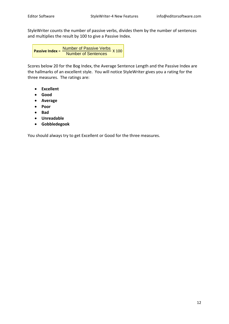StyleWriter counts the number of passive verbs, divides them by the number of sentences and multiplies the result by 100 to give a Passive Index.

**Passive Index** = 
$$
\frac{\text{Number of Passive Verbs}}{\text{Number of Sentences}} \times 100
$$

Scores below 20 for the Bog Index, the Average Sentence Length and the Passive Index are the hallmarks of an excellent style. You will notice StyleWriter gives you a rating for the three measures. The ratings are:

- **Excellent**
- **Good**
- **Average**
- **Poor**
- **Bad**
- **Unreadable**
- **Gobbledegook**

You should always try to get Excellent or Good for the three measures.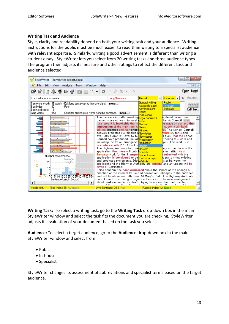#### **Writing Task and Audience**

Style, clarity and readability depend on both your writing task and your audience. Writing instructions for the public must be much easier to read than writing to a specialist audience with relevant expertise. Similarly, writing a good advertisement is different than writing a student essay. StyleWriter lets you select from 20 writing tasks and three audience types. The program then adjusts its measure and other ratings to reflect the different task and audience selected.



**Writing Task:** To select a writing task, go to the **Writing Task** drop‐down box in the main StyleWriter window and select the task fits the document you are checking. StyleWriter adjusts its evaluation of your document based on the task you select.

**Audience:** To select a target audience, go to the **Audience** drop‐down box in the main StyleWriter window and select from:

- Public
- In‐house
- Specialist

StyleWriter changes its assessment of abbreviations and specialist terms based on the target audience.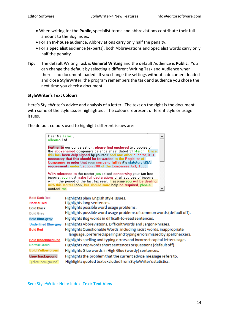- When writing for the **Public**, specialist terms and abbreviations contribute their full amount to the Bog Index.
- For an **In‐house** audience, Abbreviations carry only half the penalty.
- For a **Specialist** audience (experts), both Abbreviations and Specialist words carry only half the penalty.
- **Tip:** The default Writing Task is **General Writing** and the default Audience is **Public.** You can change the default by selecting a different Writing Task and Audience when there is no document loaded. If you change the settings without a document loaded and close StyleWriter, the program remembers the task and audience you chose the next time you check a document

#### **StyleWriter's Text Colours**

Here's StyleWriter's advice and analysis of a letter. The text on the right is the document with some of the style issues highlighted. The colours represent different style or usage issues.

The default colours used to highlight different issues are:



Highlights the problem that the current advice message refers to. **Grey background** Highlights quoted text excluded from StyleWriter's statistics. "yellow background"

**See:** StyleWriter Help: Index: **Text: Text View**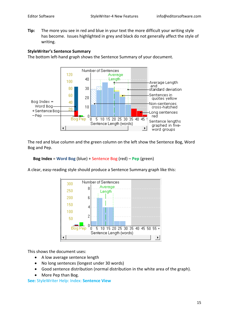**Tip:** The more you see in red and blue in your text the more difficult your writing style has become. Issues highlighted in grey and black do not generally affect the style of writing.

#### **StyleWriter's Sentence Summary**

The bottom left‐hand graph shows the Sentence Summary of your document.



The red and blue column and the green column on the left show the Sentence Bog, Word Bog and Pep.

```
Bog Index = Word Bog (blue) + Sentence Bog (red) – Pep (green)
```


A clear, easy‐reading style should produce a Sentence Summary graph like this:

This shows the document uses:

- A low average sentence length
- No long sentences (longest under 30 words)
- Good sentence distribution (normal distribution in the white area of the graph).
- More Pep than Bog.

**See:** StyleWriter Help: Index: **Sentence View**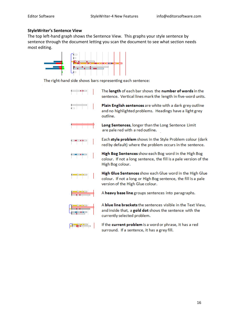#### **StyleWriter's Sentence View**

The top left-hand graph shows the Sentence View. This graphs your style sentence by sentence through the document letting you scan the document to see what section needs most editing.



The right-hand side shows bars representing each sentence:

The length of each bar shows the number of words in the sentence. Vertical lines mark the length in five-word units.

Plain English sentences are white with a dark grey outline and no highlighted problems. Headings have a light grey outline.







Long Sentences, longer than the Long Sentence Limit are pale red with a red outline.

Each style problem shows in the Style Problem colour (dark red by default) where the problem occurs in the sentence.

High Bog Sentences show each Bog word in the High Bog colour. If not a long sentence, the fill is a pale version of the High Bog colour.



High Glue Sentences show each Glue word in the High Glue colour. If not a long or High Bog sentence, the fill is a pale version of the High Glue colour.

A heavy base line groups sentences into paragraphs.





A blue line brackets the sentences visible in the Text View, and inside that, a gold dot shows the sentence with the currently selected problem.

If the current problem is a word or phrase, it has a red surround. If a sentence, it has a grey fill.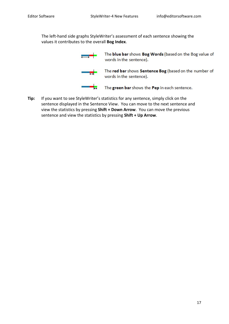The left-hand side graphs StyleWriter's assessment of each sentence showing the values it contributes to the overall **Bog Index**.



The blue bar shows Bog Words (based on the Bog value of words in the sentence).

The red bar shows Sentence Bog (based on the number of words in the sentence).



**Tip:** If you want to see StyleWriter's statistics for any sentence, simply click on the sentence displayed in the Sentence View. You can move to the next sentence and view the statistics by pressing **Shift + Down Arrow**. You can move the previous sentence and view the statistics by pressing **Shift + Up Arrow**.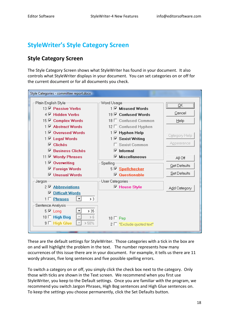# **StyleWriter's Style Category Screen**

### **Style Category Screen**

The Style Category Screen shows what StyleWriter has found in your document. It also controls what StyleWriter displays in your document. You can set categories on or off for the current document or for all documents you check.

| Style Categories - committee report.docx          |                                |                     |  |  |
|---------------------------------------------------|--------------------------------|---------------------|--|--|
| Plain English Style                               | Word Usage                     |                     |  |  |
| $13\overline{V}$ Passive Verbs                    | 1 ☑ Misused Words              |                     |  |  |
| 4 M Hidden Verbs                                  | 19 区 Confused Words            | Cancel              |  |  |
| 15 区 Complex Words                                | 18 □ Confused Common           | Help                |  |  |
| 1 <b><math>\overline{V}</math></b> Abstract Words | 12 □ Confused Hyphen           |                     |  |  |
| 1 区 Overused Words                                | 1 ⊠ Hyphen Help                | Category Help       |  |  |
| 1 ⊠ Legal Words                                   | 1 区 Sexist Writing             |                     |  |  |
| $\nabla$ Clichés                                  | □ Sexist Common                | Appearance          |  |  |
| $\nabla$ Business Clichés                         | $\triangledown$ Informal       |                     |  |  |
| 11 Ø Wordy Phrases                                | $\nabla$ Miscellaneous         | All Off             |  |  |
| $1 \nabla$ Overwriting                            | Spelling                       | <b>Get Defaults</b> |  |  |
| <b>▽ Foreign Words</b>                            | 5 Ø Spellchecker               |                     |  |  |
| <b>□ Unusual Words</b>                            | $\nabla$ Questionable          | Set Defaults        |  |  |
| Jargon                                            | User Categories                |                     |  |  |
| 2 <b><math>\overline{V}</math></b> Abbreviations  | <b>□ House Style</b>           | Add Category        |  |  |
| <b><math>⊓</math></b> Difficult Words             |                                |                     |  |  |
| > 3<br>$1 \Box$ Phrases<br>▼                      |                                |                     |  |  |
| Sentence Analysis ·                               |                                |                     |  |  |
| > 35<br>$5 \triangleright$ Long<br>▼              |                                |                     |  |  |
| 10 □ High Bog<br>> 6                              | $10 \Box$ Pep                  |                     |  |  |
| 9 □ High Glue<br>$> 50\%$                         | $2 \Box$ "Exclude quoted text" |                     |  |  |
|                                                   |                                |                     |  |  |

These are the default settings for StyleWriter. Those categories with a tick in the box are on and will highlight the problem in the text. The number represents how many occurrences of this issue there are in your document. For example, it tells us there are 11 wordy phrases, five long sentences and five possible spelling errors.

To switch a category on or off, you simply click the check box next to the category. Only those with ticks are shown in the Text screen. We recommend when you first use StyleWriter, you keep to the Default settings. Once you are familiar with the program, we recommend you switch Jargon Phrases, High Bog sentences and High Glue sentences on. To keep the settings you choose permanently, click the Set Defaults button.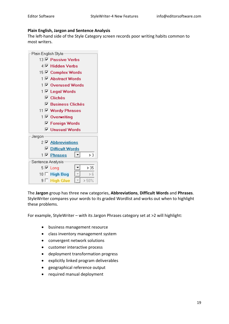#### **Plain English, Jargon and Sentence Analysis**

The left-hand side of the Style Category screen records poor writing habits common to most writers.

| Plain English Style |                           |      |
|---------------------|---------------------------|------|
|                     | 13 Ø Passive Verbs        |      |
|                     | 4 M Hidden Verbs          |      |
|                     | 15 Ø Complex Words        |      |
|                     | 1 Ø Abstract Words        |      |
|                     | 1 Ø Overused Words        |      |
|                     | 1 <b>⊽</b> Legal Words    |      |
|                     | $\nabla$ Clichés          |      |
|                     | <b>E</b> Business Clichés |      |
|                     | 11 Ø Wordy Phrases        |      |
|                     | 1 <b>☑</b> Overwriting    |      |
|                     | <b>□ Foreign Words</b>    |      |
|                     | <b>E</b> Unusual Words    |      |
| Jarqon              |                           |      |
|                     | 2 Ø Abbreviations         |      |
|                     | <b>▽ Difficult Words</b>  |      |
|                     |                           | > 3  |
| Sentence Analysis   |                           |      |
|                     | 5 ⊠ Lonq                  | > 35 |
|                     | $10 \Box$ High Bog        | > 6  |
|                     | 9 □ High Glue             | >50% |
|                     |                           |      |

The **Jargon** group has three new categories, **Abbreviations**, **Difficult Words** and **Phrases**. StyleWriter compares your words to its graded Wordlist and works out when to highlight these problems.

For example, StyleWriter – with its Jargon Phrases category set at >2 will highlight:

- business management resource
- class inventory management system
- convergent network solutions
- customer interactive process
- deployment transformation progress
- explicitly linked program deliverables
- geographical reference output
- required manual deployment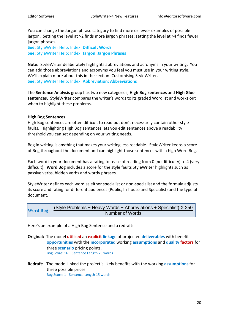You can change the Jargon phrase category to find more or fewer examples of possible jargon. Setting the level at >2 finds more jargon phrases; setting the level at >4 finds fewer jargon phrases.

**See:** StyleWriter Help: Index: **Difficult Words See:** StyleWriter Help: Index: **Jargon: Jargon Phrases**

**Note:** StyleWriter deliberately highlights abbreviations and acronyms in your writing. You can add those abbreviations and acronyms you feel you must use in your writing style. We'll explain more about this in the section: Customising StyleWriter. **See:** StyleWriter Help: Index: **Abbreviation: Abbreviations**

The **Sentence Analysis** group has two new categories, **High Bog sentences** and **High Glue sentences.** StyleWriter compares the writer's words to its graded Wordlist and works out when to highlight these problems.

#### **High Bog Sentences**

High Bog sentences are often difficult to read but don't necessarily contain other style faults. Highlighting High Bog sentences lets you edit sentences above a readability threshold you can set depending on your writing needs.

Bog in writing is anything that makes your writing less readable. StyleWriter keeps a score of Bog throughout the document and can highlight those sentences with a high Word Bog.

Each word in your document has a rating for ease of reading from 0 (no difficulty) to 4 (very difficult). **Word Bog** includes a score for the style faults StyleWriter highlights such as passive verbs, hidden verbs and wordy phrases.

StyleWriter defines each word as either specialist or non‐specialist and the formula adjusts its score and rating for different audiences (Public, In‐house and Specialist) and the type of document.

**Word** 
$$
Bog = \frac{(Style Problems + Heavy Words + Abbreviations + Specialist) \times 250}{Number of Words}
$$

Here's an example of a High Bog Sentence and a redraft:

- **Original:** The model **utilised** an **explicit linkage** of projected **deliverables** with benefit **opportunities** with the **incorporated** working **assumptions** and **quality factors** for three **scenario** pricing points. Bog Score: 16 – Sentence Length 25 words
- **Redraft:** The model linked the project's likely benefits with the working **assumptions** for three possible prices. Bog Score: 1 ‐ Sentence Length 15 words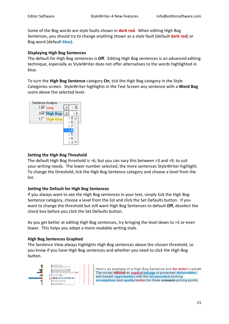Some of the Bog words are style faults shown in **dark red**. When editing High Bog Sentences, you should try to change anything shown as a style fault (default **dark red**) or Bog word (default **blue**).

#### **Displaying High Bog Sentences**

The default for High Bog sentences is **Off**.Editing High Bog sentences is an advanced editing technique, especially as StyleWriter does not offer alternatives to the words highlighted in blue.

To turn the **High Bog Sentence** category **On**, tick the High Bog category in the Style Categories screen. StyleWriter highlights in the Text Screen any sentence with a **Word Bog** score above the selected level.



#### **Setting the High Bog Threshold**

The default High Bog threshold is >6, but you can vary this between >3 and >9, to suit your writing needs. The lower number selected, the more sentences StyleWriter highlight. To change the threshold, tick the High Bog Sentence category and choose a level from the list.

#### **Setting the Default for High Bog Sentences**

If you always want to see the High Bog sentences in your text, simply tick the High Bog Sentence category, choose a level from the list and click the Set Defaults button. If you want to change the threshold but still want High Bog Sentences to default **Off**, deselect the check box before you click the Set Defaults button.

As you get better at editing High Bog sentences, try bringing the level down to >5 or even lower. This helps you adopt a more readable writing style.

#### **High Bog Sentences Graphed**

The Sentence View always highlights High Bog sentences above the chosen threshold, so you know if you have High Bog sentences and whether you need to click the High Bog button.



Here's an example of a High Bog Sentence and the writer's redraft: The model utilised an explicit linkage of projected deliverables with benefit opportunities with the incorporated working assumptions and quality factors for three scenario pricing points.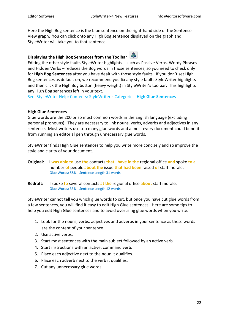Here the High Bog sentence is the blue sentence on the right-hand side of the Sentence View graph. You can click onto any High Bog sentence displayed on the graph and StyleWriter will take you to that sentence.

#### **Displaying the High Bog Sentences from the Toolbar**

Editing the other style faults StyleWriter highlights – such as Passive Verbs, Wordy Phrases and Hidden Verbs – reduces the Bog words in those sentences, so you need to check only for **High Bog Sentences** after you have dealt with those style faults. If you don't set High Bog sentences as default on, we recommend you fix any style faults StyleWriter highlights and then click the High Bog button (heavy weight) in StyleWriter's toolbar. This highlights any High Bog sentences left in your text.

See: StyleWriter Help: Contents: StyleWriter's Categories: **High Glue Sentences**

#### **High Glue Sentences**

Glue words are the 200 or so most common words in the English language (excluding personal pronouns). They are necessary to link nouns, verbs, adverbs and adjectives in any sentence. Most writers use too many glue words and almost every document could benefit from running an editorial pen through unnecessary glue words.

StyleWriter finds High Glue sentences to help you write more concisely and so improve the style and clarity of your document.

- **Original:** I **was able to** use **the** contacts **that** I **have in the** regional office **and** spoke **to a** number **of** people **about the** issue **that had been** raised **of** staff morale. Glue Words: 58% ‐ Sentence Length 31 words
- **Redraft:** I spoke **to** several contacts **at the** regional office **about** staff morale. Glue Words: 33% ‐ Sentence Length 12 words

StyleWriter cannot tell you which glue words to cut, but once you have cut glue words from a few sentences, you will find it easy to edit High Glue sentences. Here are some tips to help you edit High Glue sentences and to avoid overusing glue words when you write.

- 1. Look for the nouns, verbs, adjectives and adverbs in your sentence as these words are the content of your sentence.
- 2. Use active verbs.
- 3. Start most sentences with the main subject followed by an active verb.
- 4. Start instructions with an active, command verb.
- 5. Place each adjective next to the noun it qualifies.
- 6. Place each adverb next to the verb it qualifies.
- 7. Cut any unnecessary glue words.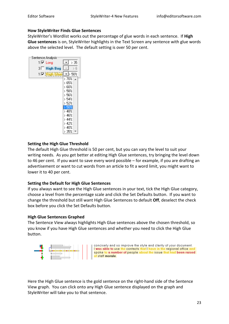#### **How StyleWriter Finds Glue Sentences**

StyleWriter's Wordlist works out the percentage of glue words in each sentence. If **High Glue sentences** is on, StyleWriter highlights in the Text Screen any sentence with glue words above the selected level. The default setting is over 50 per cent.



#### **Setting the High Glue Threshold**

The default High Glue threshold is 50 per cent, but you can vary the level to suit your writing needs. As you get better at editing High Glue sentences, try bringing the level down to 46 per cent. If you want to save every word possible – for example, if you are drafting an advertisement or want to cut words from an article to fit a word limit, you might want to lower it to 40 per cent.

#### **Setting the Default for High Glue Sentences**

If you always want to see the High Glue sentences in your text, tick the High Glue category, choose a level from the percentage scale and click the Set Defaults button. If you want to change the threshold but still want High Glue Sentences to default **Off**, deselect the check box before you click the Set Defaults button.

#### **High Glue Sentences Graphed**

The Sentence View always highlights High Glue sentences above the chosen threshold, so you know if you have High Glue sentences and whether you need to click the High Glue button.



concisely and so improve the style and clarity of your document. was able to use the contacts that I have in the regional office and spoke to a number of people about the issue that had been raised of staff morale.

Here the High Glue sentence is the gold sentence on the right-hand side of the Sentence View graph. You can click onto any High Glue sentence displayed on the graph and StyleWriter will take you to that sentence.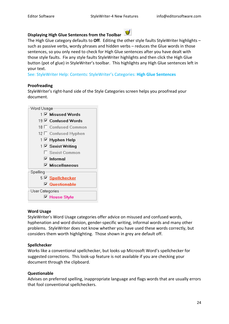# **Displaying High Glue Sentences from the Toolbar**

The High Glue category defaults to **Off**. Editing the other style faults StyleWriter highlights – such as passive verbs, wordy phrases and hidden verbs – reduces the Glue words in those sentences, so you only need to check for High Glue sentences after you have dealt with those style faults. Fix any style faults StyleWriter highlights and then click the High Glue button (pot of glue) in StyleWriter's toolbar. This highlights any High Glue sentences left in your text.

See: StyleWriter Help: Contents: StyleWriter's Categories: **High Glue Sentences**

#### **Proofreading**

StyleWriter's right-hand side of the Style Categories screen helps you proofread your document.

| Word Usage      |                                     |
|-----------------|-------------------------------------|
|                 | 1 Misused Words                     |
|                 | 19 Ø Confused Words                 |
|                 | 18 □ Confused Common                |
|                 | 12 □ Confused Hyphen                |
|                 | 1 ☑ Hyphen Help                     |
|                 | 1 M Sexist Writing                  |
|                 | □ Sexist Common                     |
|                 | $\overline{\triangledown}$ Informal |
|                 | $\nabla$ Miscellaneous              |
| Spelling        |                                     |
|                 | 5 M Spellchecker                    |
|                 | $\nabla$ Questionable               |
| User Categories |                                     |
|                 | $\boxdot$ House Style               |

#### **Word Usage**

StyleWriter's Word Usage categories offer advice on misused and confused words, hyphenation and word division, gender‐specific writing, informal words and many other problems. StyleWriter does not know whether you have used these words correctly, but considers them worth highlighting. Those shown in grey are default off.

#### **Spellchecker**

Works like a conventional spellchecker, but looks up Microsoft Word's spellchecker for suggested corrections. This look‐up feature is not available if you are checking your document through the clipboard.

#### **Questionable**

Advises on preferred spelling, inappropriate language and flags words that are usually errors that fool conventional spellcheckers.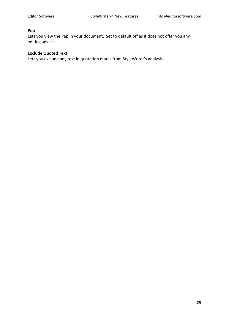#### **Pep**

Lets you view the Pep in your document. Set to default off as it does not offer you any editing advice.

#### **Exclude Quoted Text**

Lets you exclude any text in quotation marks from StyleWriter's analysis.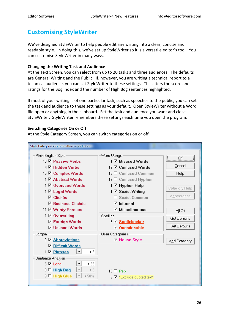### **Customising StyleWriter**

We've designed StyleWriter to help people edit any writing into a clear, concise and readable style. In doing this, we've set up StyleWriter so it is a versatile editor's tool. You can customise StyleWriter in many ways.

#### **Changing the Writing Task and Audience**

At the Text Screen, you can select from up to 20 tasks and three audiences. The defaults are General Writing and the Public. If, however, you are writing a technical report to a technical audience, you can set StyleWriter to these settings. This alters the score and ratings for the Bog Index and the number of High Bog sentences highlighted.

If most of your writing is of one particular task, such as speeches to the public, you can set the task and audience to these settings as your default. Open StyleWriter without a Word file open or anything in the clipboard. Set the task and audience you want and close StyleWriter. StyleWriter remembers these settings each time you open the program.

#### **Switching Categories On or Off**

At the Style Category Screen, you can switch categories on or off.

| Style Categories - committee report.docx          |                           |                 |
|---------------------------------------------------|---------------------------|-----------------|
| Plain English Style                               | Word Usage                |                 |
| 13 <b><math>\overline{V}</math></b> Passive Verbs | 1 ⊠ Misused Words         | $\overline{OK}$ |
| 4 Ø Hidden Verbs                                  | 19 区 Confused Words       | Cancel          |
| 15 区 Complex Words                                | 18 □ Confused Common      | <b>Help</b>     |
| 1 Ø Abstract Words                                | 12 □ Confused Hyphen      |                 |
| 1 区 Overused Words                                | 1 <b>▽</b> Hyphen Help    |                 |
| 1 <b><math>\overline{V}</math></b> Legal Words    | 1 区 Sexist Writing        | Category Help   |
| $\nabla$ Clichés                                  | □ Sexist Common           | Appearance      |
| $\nabla$ Business Clichés                         | $\overline{v}$ Informal   |                 |
| 11 Ø Wordy Phrases                                | $\nabla$ Miscellaneous    | All Off         |
| 1 <b><math>\overline{v}</math></b> Overwriting    | Spelling                  | Get Defaults    |
| <b>▽ Foreign Words</b>                            | 5 Ø Spellchecker          |                 |
| $\nabla$ Unusual Words                            | $\nabla$ Questionable     | Set Defaults    |
| Jargon                                            | User Categories           |                 |
| 2 Ø Abbreviations                                 | <b>□ House Style</b>      | Add Category    |
| <b>Difficult Words</b><br>⊽                       |                           |                 |
| > 3<br>$1\nabla$ Phrases                          |                           |                 |
| Sentence Analysis                                 |                           |                 |
| > 35<br>$5 \nabla$ Long                           |                           |                 |
| $10 \Box$ High Bog<br>> 6                         | $10 \Box$ Pep             |                 |
| $9 \Box$ High Glue<br>$> 50\%$                    | 2 区 "Exclude quoted text" |                 |
|                                                   |                           |                 |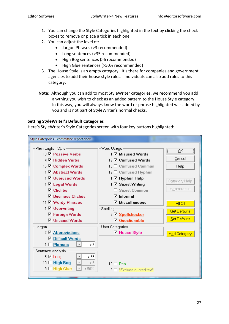- 1. You can change the Style Categories highlighted in the text by clicking the check boxes to remove or place a tick in each one.
- 2. You can adjust the level of:
	- Jargon Phrases (>3 recommended)
	- Long sentences (>35 recommended)
	- High Bog sentences (>6 recommended)
	- High Glue sentences (>50% recommended)
- 3. The House Style is an empty category. It's there for companies and government agencies to add their house style rules. Individuals can also add rules to this category.
- **Note**: Although you can add to most StyleWriter categories, we recommend you add anything you wish to check as an added pattern to the House Style category. In this way, you will always know the word or phrase highlighted was added by you and is not part of StyleWriter's normal checks.

#### **Setting StyleWriter's Default Categories**

Here's StyleWriter's Style Categories screen with four key buttons highlighted:

| Style Categories - committee report.docx          |                           |                     |  |  |
|---------------------------------------------------|---------------------------|---------------------|--|--|
| Plain English Style                               | Word Usage                |                     |  |  |
| 13 <b><math>\overline{V}</math></b> Passive Verbs | 1 Misused Words           |                     |  |  |
| 4 Ø Hidden Verbs                                  | 19 区 Confused Words       | Cancel              |  |  |
| 15 区 Complex Words                                | 18 E Confused Common      | Help                |  |  |
| 1 Ø Abstract Words                                | 12 □ Confused Hyphen      |                     |  |  |
| 1 区 Overused Words                                | 1 ⊠ Hyphen Help           |                     |  |  |
| 1 ⊠ Legal Words                                   | 1 Ø Sexist Writing        | Category Help       |  |  |
| $\nabla$ Clichés                                  | □ Sexist Common           | Appearance          |  |  |
| $\nabla$ Business Clichés                         | $\triangledown$ Informal  |                     |  |  |
| 11 区 Wordy Phrases                                | $\nabla$ Miscellaneous    | All Off             |  |  |
| 1 <b>☑</b> Overwriting                            | Spelling                  | <b>Get Defaults</b> |  |  |
| <b>▽ Foreign Words</b>                            | 5 Ø Spellchecker          |                     |  |  |
| <b>□ Unusual Words</b>                            | $\nabla$ Questionable     | Set Defaults        |  |  |
| Jargon                                            | User Categories           |                     |  |  |
| 2 Ø Abbreviations                                 | $\n  \square House Style$ | Add Category        |  |  |
| <b>▽ Difficult Words</b>                          |                           |                     |  |  |
| > 3<br>$1 \Box$ Phrases<br>▼                      |                           |                     |  |  |
| Sentence Analysis                                 |                           |                     |  |  |
| 5 M Long<br>> 35                                  |                           |                     |  |  |
| 10 □ High Bog<br>> 6                              | $10 \Box$ Pep             |                     |  |  |
| $9 \Box$ High Glue<br>>50%                        | 2 □ "Exclude quoted text" |                     |  |  |
|                                                   |                           |                     |  |  |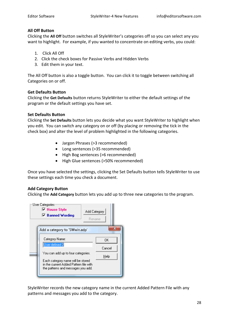#### **All Off Button**

Clicking the **All Off** button switches all StyleWriter's categories off so you can select any you want to highlight. For example, if you wanted to concentrate on editing verbs, you could:

- 1. Click All Off
- 2. Click the check boxes for Passive Verbs and Hidden Verbs
- 3. Edit them in your text.

The All Off button is also a toggle button. You can click it to toggle between switching all Categories on or off.

#### **Get Defaults Button**

Clicking the **Get Defaults** button returns StyleWriter to either the default settings of the program or the default settings you have set.

#### **Set Defaults Button**

Clicking the **Set Defaults** button lets you decide what you want StyleWriter to highlight when you edit. You can switch any category on or off (by placing or removing the tick in the check box) and alter the level of problem highlighted in the following categories.

- Jargon Phrases (>3 recommended)
- Long sentences (>35 recommended)
- High Bog sentences (>6 recommended)
- High Glue sentences (>50% recommended)

Once you have selected the settings, clicking the Set Defaults button tells StyleWriter to use these settings each time you check a document.

#### **Add Category Button**

Clicking the **Add Category** button lets you add up to three new categories to the program.

| User Categories<br><b>□ House Style</b><br>$\nabla$ Banned Wording                                                | Add Category<br>Rename |
|-------------------------------------------------------------------------------------------------------------------|------------------------|
| Add a category to 'SWwin.adp'                                                                                     | X.                     |
| Category Name:<br>User-defined 2                                                                                  | OΚ                     |
|                                                                                                                   | Cancel                 |
| You can add up to four categories.                                                                                | Help                   |
| Each category name will be stored<br>in the current Added Pattern file with<br>the patterns and messages you add. |                        |

StyleWriter records the new category name in the current Added Pattern File with any patterns and messages you add to the category.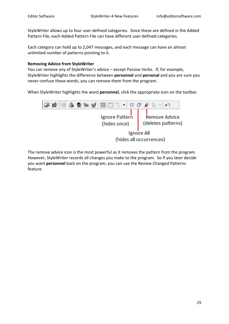StyleWriter allows up to four user‐defined categories. Since these are defined in the Added Pattern File, each Added Pattern File can have different user‐defined categories.

Each category can hold up to 2,047 messages, and each message can have an almost unlimited number of patterns pointing to it.

#### **Removing Advice from StyleWriter**

You can remove any of StyleWriter's advice – except Passive Verbs. If, for example, StyleWriter highlights the difference between **personnel** and **personal** and you are sure you never confuse these words, you can remove them from the program.

When StyleWriter highlights the word **personnel**, click the appropriate icon on the toolbar.



The remove advice icon is the most powerful as it removes the pattern from the program. However, StyleWriter records all changes you make to the program. So if you later decide you want **personnel** back on the program, you can use the Review Changed Patterns feature.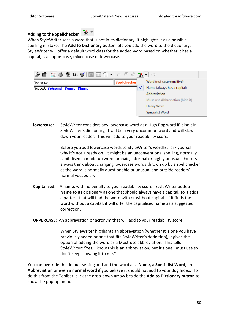# **Adding to the Spellchecker**

When StyleWriter sees a word that is not in its dictionary, it highlights it as a possible spelling mistake. The **Add to Dictionary** button lets you add the word to the dictionary. StyleWriter will offer a default word class for the added word based on whether it has a capital, is all uppercase, mixed case or lowercase.



**lowercase:** StyleWriter considers any lowercase word as a High Bog word if it isn't in StyleWriter's dictionary, it will be a very uncommon word and will slow down your reader. This will add to your readability score.

> Before you add lowercase words to StyleWriter's wordlist, ask yourself why it's not already on. It might be an unconventional spelling, normally capitalised, a made‐up word, archaic, informal or highly unusual. Editors always think about changing lowercase words thrown up by a spellchecker as the word is normally questionable or unusual and outside readers' normal vocabulary.

- **Capitalised:** A name, with no penalty to your readability score. StyleWriter adds a **Name** to its dictionary as one that should always have a capital, so it adds a pattern that will find the word with or without capital. If it finds the word without a capital, it will offer the capitalised name as a suggested correction.
- **UPPERCASE:** An abbreviation or acronym that will add to your readability score.

When StyleWriter highlights an abbreviation (whether it is one you have previously added or one that fits StyleWriter's definition), it gives the option of adding the word as a Must‐use abbreviation. This tells StyleWriter: "Yes, I know this is an abbreviation, but it's one I must use so don't keep showing it to me."

You can override the default setting and add the word as a **Name**, a **Specialist Word**, an **Abbreviation** or even a **normal word** if you believe it should not add to your Bog Index. To do this from the Toolbar, click the drop‐down arrow beside the **Add to Dictionary button** to show the pop‐up menu.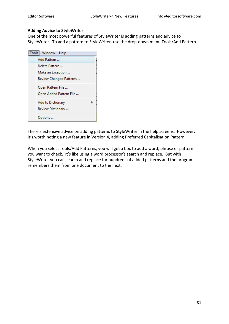#### **Adding Advice to StyleWriter**

One of the most powerful features of StyleWriter is adding patterns and advice to StyleWriter. To add a pattern to StyleWriter, use the drop-down menu Tools/Add Pattern.

| Tools   Window Help     |
|-------------------------|
| Add Pattern             |
| Delete Pattern          |
| Make an Exception       |
| Review Changed Patterns |
| Open Pattern File       |
| Open Added Pattern File |
| Add to Dictionary       |
| Review Dictionary       |
| Options                 |

There's extensive advice on adding patterns to StyleWriter in the help screens. However, it's worth noting a new feature in Version 4, adding Preferred Capitalisation Pattern.

When you select Tools/Add Patterns, you will get a box to add a word, phrase or pattern you want to check. It's like using a word processor's search and replace. But with StyleWriter you can search and replace for hundreds of added patterns and the program remembers them from one document to the next.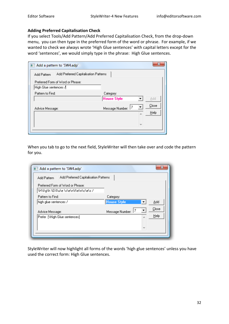#### **Adding Preferred Capitalisation Check**

If you select Tools/Add Pattern/Add Preferred Capitalisation Check, from the drop‐down menu, you can then type in the preferred form of the word or phrase. For example, if we wanted to check we always wrote 'High Glue sentences' with capital letters except for the word 'sentences', we would simply type in the phrase: High Glue sentences.

| Add a pattern to 'SW4.adp'                                 |                    |       |  |
|------------------------------------------------------------|--------------------|-------|--|
| Add Preferred Capitalisation Patterns<br>Add Pattern       |                    |       |  |
| Preferred Form of Word or Phrase:<br>High Glue sentences / |                    |       |  |
| Pattern to Find:                                           | Category:          |       |  |
|                                                            | <b>House Style</b> | Add   |  |
| Advice Message:                                            | Message Number:    | Close |  |
|                                                            | A.                 | Help  |  |
|                                                            |                    |       |  |
|                                                            |                    |       |  |
|                                                            |                    |       |  |

When you tab to go to the next field, StyleWriter will then take over and code the pattern for you.

| Add a pattern to 'SW4.adp'                                                  |                                                                |
|-----------------------------------------------------------------------------|----------------------------------------------------------------|
| Add Preferred Capitalisation Patterns<br>Add Pattern                        |                                                                |
| Preferred Form of Word or Phrase:<br>\H\i\g\h \G\l\u\e \s\e\n\t\e\n\c\e\s / |                                                                |
| Pattern to Find:<br>high glue sentences /                                   | Category:<br><b>House Style</b><br>Add<br>$\blacktriangledown$ |
| Advice Message:                                                             | Close<br>7<br>$\blacktriangledown$<br>Message Number:          |
| Prefer [\High Glue sentences]                                               | Help<br>A.                                                     |
|                                                                             | $\overline{\phantom{a}}$                                       |

StyleWriter will now highlight all forms of the words 'high glue sentences' unless you have used the correct form: High Glue sentences.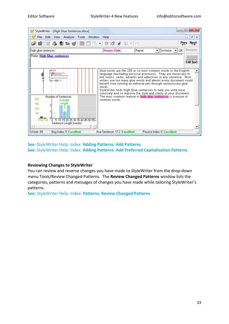

#### **See:** StyleWriter Help: Index: **Adding Patterns: Add Patterns See:** StyleWriter Help: Index: **Adding Patterns: Add Preferred Capitalisation Patterns**

#### **Reviewing Changes to StyleWriter**

You can review and reverse changes you have made to StyleWriter from the drop‐down menu Tools/Review Changed Patterns. The **Review Changed Patterns** window lists the categories, patterns and messages of changes you have made while tailoring StyleWriter's patterns.

**See:** StyleWriter Help: Index: **Patterns: Review Changed Patterns**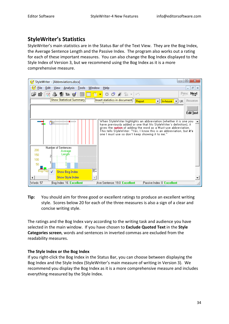### **StyleWriter's Statistics**

StyleWriter's main statistics are in the Status Bar of the Text View. They are the Bog Index, the Average Sentence Length and the Passive Index. The program also works out a rating for each of these important measures. You can also change the Bog Index displayed to the Style Index of Version 3, but we recommend using the Bog Index as it is a more comprehensive measure.



**Tip:** You should aim for three good or excellent ratings to produce an excellent writing style. Scores below 20 for each of the three measures is also a sign of a clear and concise writing style.

The ratings and the Bog Index vary according to the writing task and audience you have selected in the main window. If you have chosen to **[Exclude](javascript:TL_247043.HHClick()) Quoted Text** in the **[Style](javascript:TL_247044.HHClick()) [Categories](javascript:TL_247044.HHClick()) screen**, words and sentences in inverted commas are excluded from the readability measures.

#### **The Style Index or the Bog Index**

If you right‐click the Bog Index in the Status Bar, you can choose between displaying the Bog Index and the Style Index (StyleWriter's main measure of writing in Version 3). We recommend you display the Bog Index as it is a more comprehensive measure and includes everything measured by the Style Index.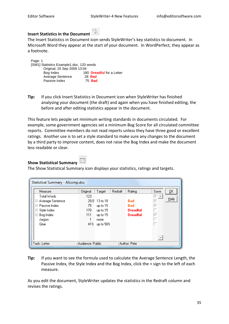# **Insert Statistics in the Document**

The Insert Statistics in Document icon sends StyleWriter's key statistics to document. In Microsoft Word they appear at the start of your document. In WordPerfect, they appear as a footnote.

| Page: 1                                  |                                  |
|------------------------------------------|----------------------------------|
| [SW1] Statistics Example1.doc, 120 words |                                  |
| Original, 25 Sep 2009 13:04              |                                  |
| Bog Index                                | 180 <b>Dreadful</b> for a Letter |
| <b>Average Sentence</b>                  | 28 <b>Bad</b>                    |
| Passive Index                            | 75 <b>Bad</b>                    |
|                                          |                                  |

**Tip:** If you click Insert Statistics in Document icon when StyleWriter has finished analysing your document (the draft) and again when you have finished editing, the before and after editing statistics appear in the document.

This feature lets people set minimum writing standards in documents circulated. For example, some government agencies set a minimum Bog Score for all circulated committee reports. Committee members do not read reports unless they have three good or excellent ratings. Another use is to set a style standard to make sure any changes to the document by a third party to improve content, does not raise the Bog Index and make the document less readable or clear.

| <b>Show Statistical Summary</b> |  |
|---------------------------------|--|

The Show Statistical Summary icon displays your statistics, ratings and targets.

| Statistical Summary - Allcomp.doc |          |              |         |                 |                          |    |
|-----------------------------------|----------|--------------|---------|-----------------|--------------------------|----|
| Measure                           | Original | Target       | Redraft | Rating          | Save                     | ŌΚ |
| Total Words                       | 123      |              |         |                 | V                        |    |
| 田 Average Sentence                | 29.0     | 13 to 18     |         | <b>Bad</b>      | ⊽                        | He |
| ⊞ Passive Index                   | 75       | up to 15     |         | <b>Bad</b>      | ⊽                        |    |
| <b>⊞</b> Style Index              | 170      | up to 15     |         | <b>Dreadful</b> |                          |    |
| $\boxplus$ Bog Index              | 111      | up to 15     |         | <b>Dreadful</b> | ⊽                        |    |
| Jargon                            |          | none         |         |                 |                          |    |
| Glue                              | 41%      | up to $50\%$ |         |                 |                          |    |
|                                   |          |              |         |                 |                          |    |
|                                   |          |              |         |                 |                          |    |
|                                   |          |              |         |                 | $\overline{\phantom{a}}$ |    |
| Task: Letter                      |          |              |         |                 |                          |    |
| Audience: Public<br>Author: Pete  |          |              |         |                 |                          |    |

**Tip:** If you want to see the formula used to calculate the Average Sentence Length, the Passive Index, the Style Index and the Bog Index, click the + sign to the left of each measure.

As you edit the document, StyleWriter updates the statistics in the Redraft column and revises the ratings.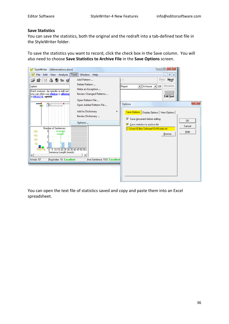#### **Save Statistics**

You can save the statistics, both the original and the redraft into a tab-defined text file in the StyleWriter folder.

To save the statistics you want to record, click the check box in the Save column. You will also need to choose **Save Statistics to Archive File** in the **Save Options** screen.

| StyleWriter - [Abbreviations.docx]                                                                                                                                                                           |                                                                                                    | $\Box$<br>$\mathbf{x}$<br>$\Box$                                                                                                                                                                                                 |
|--------------------------------------------------------------------------------------------------------------------------------------------------------------------------------------------------------------|----------------------------------------------------------------------------------------------------|----------------------------------------------------------------------------------------------------------------------------------------------------------------------------------------------------------------------------------|
| Edit View Analysis   Tools<br><b>iz</b> File                                                                                                                                                                 | Window Help                                                                                        | $ F$ $\times$                                                                                                                                                                                                                    |
| c}ê∥‼&\$™s<br>option<br>Don't overuse - be specific or edit out<br>you can often use <i>choice</i> or alterna<br>or DELETE option                                                                            | Add Pattern<br>Delete Pattern<br>Make an Exception<br>Review Changed Patterns<br>Open Pattern File | Prev. Next<br>IО<br>Resume<br>$\mathbf{v}$ In-house $\mathbf{v}$<br><b>UK</b><br>Report<br>WWW.<br>Edit <u>T</u> ext                                                                                                             |
| ⋾                                                                                                                                                                                                            | Open Added Pattern File<br><b>Add to Dictionary</b><br>Þ.<br>Review Dictionary<br>Options          | $\mathbf{x}$<br>Options<br>Save Options<br>Display Options   View Options  <br>$\overline{\triangledown}$ Save document before editing<br><b>OK</b><br>$\overline{\blacktriangledown}$ Save statistics to archive file<br>Cancel |
| Number of Sentences<br>з<br>Average<br>200<br>Length<br>150<br>100<br>50<br>5 10 15 20 25 30 35 40 45 50 55+<br><b>Bog Pep</b><br>Ο.<br>Sentence Length (words)<br>◀<br>Bog Index: 16 Excellent<br>Words: 57 | ▶<br>Ave Sentence: 19.0 Excellent                                                                  | C:\Users\Editor Software\SW4\stats.txt<br>Help<br>Browse                                                                                                                                                                         |

You can open the text file of statistics saved and copy and paste them into an Excel spreadsheet.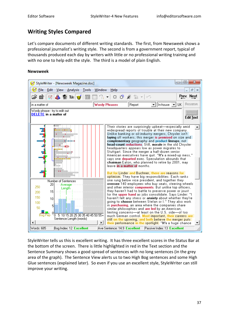### **Writing Styles Compared**

Let's compare documents of different writing standards. The first, from Newsweek shows a professional journalist's writing style. The second is from a government report, typical of thousands produced each day by writers with little or no professional writing training and with no one to help edit the style. The third is a model of plain English.

#### **Newsweek**



StyleWriter tells us this is excellent writing. It has three excellent scores in the Status Bar at the bottom of the screen. There is little highlighted in red in the Text section and the Sentence Summary shows a good spread of sentences with no long sentences (in the grey area of the graph). The Sentence View alerts us to two High Bog sentences and some High Glue sentences (explained later). So even if you use an excellent style, StyleWriter can still improve your writing.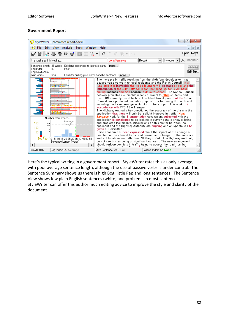#### **Government Report**

| 冋<br>StyleWriter - [committee report.docx]                                                                                                                                                                                                                                                                                                                                                                                                                                                                                                                                                                                                                                                                                                                                                                                                                                                                                                                                                                                                                                                                                                                                                                                                                                                                                                                                                                                                                                                                                                                                                                                                                                                                                                                                                                                      | $\mathbf x$  |  |  |
|---------------------------------------------------------------------------------------------------------------------------------------------------------------------------------------------------------------------------------------------------------------------------------------------------------------------------------------------------------------------------------------------------------------------------------------------------------------------------------------------------------------------------------------------------------------------------------------------------------------------------------------------------------------------------------------------------------------------------------------------------------------------------------------------------------------------------------------------------------------------------------------------------------------------------------------------------------------------------------------------------------------------------------------------------------------------------------------------------------------------------------------------------------------------------------------------------------------------------------------------------------------------------------------------------------------------------------------------------------------------------------------------------------------------------------------------------------------------------------------------------------------------------------------------------------------------------------------------------------------------------------------------------------------------------------------------------------------------------------------------------------------------------------------------------------------------------------|--------------|--|--|
| <b>Eile</b> Edit<br><u>V</u> iew <u>A</u> nalysis <u>T</u> ools <u>W</u> indow<br>Help                                                                                                                                                                                                                                                                                                                                                                                                                                                                                                                                                                                                                                                                                                                                                                                                                                                                                                                                                                                                                                                                                                                                                                                                                                                                                                                                                                                                                                                                                                                                                                                                                                                                                                                                          | $E$ $\times$ |  |  |
| Prev. Next<br>▎▓ <b>ᠿѼѬѬॏ▒▌▒</b><br>c) è i                                                                                                                                                                                                                                                                                                                                                                                                                                                                                                                                                                                                                                                                                                                                                                                                                                                                                                                                                                                                                                                                                                                                                                                                                                                                                                                                                                                                                                                                                                                                                                                                                                                                                                                                                                                      |              |  |  |
| Resume<br>Long Sentence<br>Report<br>$\mathbf{v}$   In-house $\mathbf{v}$  <br><b>UK</b><br>In a rural area it is inevitab                                                                                                                                                                                                                                                                                                                                                                                                                                                                                                                                                                                                                                                                                                                                                                                                                                                                                                                                                                                                                                                                                                                                                                                                                                                                                                                                                                                                                                                                                                                                                                                                                                                                                                      |              |  |  |
| Sentence length 38 words - Edit long sentences to improve clarity. <b>more</b><br>Bog Index<br>80<br>- Poor<br><b>Edit Text</b><br>6<br>Bog word score<br>55%<br>Glue words<br>- Consider cutting glue words from this sentence. <b>more</b>                                                                                                                                                                                                                                                                                                                                                                                                                                                                                                                                                                                                                                                                                                                                                                                                                                                                                                                                                                                                                                                                                                                                                                                                                                                                                                                                                                                                                                                                                                                                                                                    |              |  |  |
| The increase in traffic resulting from the sixth form development has<br>ىك بىل كىلى بايى كىلىل<br>caused some concern to local residents and the Parish Council. In a<br>rural area it is inevitable that some journeys will be made by car and the<br>introduction of the sixth form will mean that some students will hold<br>driving licences and may choose to drive to school. The School Council<br>actively promotes sustainable means of travel to <b>othre</b> students and<br>over 60% currently travel by bus. The latest travel plan, <b>that the</b> School<br>Council have produced, includes proposals for furthering this work and<br>including the travel arrangements of sixth form pupils. This work is in<br>accordance with PPG 13 - Transport.<br>The Highway Authority has guestioned the accuracy of the claim in the<br>application that there will only be a slight increase in traffic. Next<br>Januarys work for the Transportation Assessment submitted with the<br>Number of Sentences<br>application is considered to be lacking in survey data to show existing<br>Average<br>and predicted movements. Discussions on this matter between the<br>150<br>20<br>Lenath<br>applicant and the Highway Authority are <b>ongoing</b> and an update will be<br>100<br>aiven at Committee.<br>10<br>Some concern has <b>been expressed</b> about the impact of the change of<br>50<br>direction of the internal traffic and consequent changes to the entrance<br>and exit locations on traffic from St Mary's Park. The Highway Authority<br>$10\,$ 5 10 15 20 25 30 35 40 45 50 55+<br>Bog Pep<br>do not see this as being of significant concern. The new arrangement<br>Sentence Length (words)<br>should reduce conflicts in traffic trying to access the road from both<br>$\blacktriangleright$ |              |  |  |
| Words: 846<br>Ave Sentence: 25.6 Fair<br>Bog Index: 65 Average<br>Passive Index: 42 <b>Good</b>                                                                                                                                                                                                                                                                                                                                                                                                                                                                                                                                                                                                                                                                                                                                                                                                                                                                                                                                                                                                                                                                                                                                                                                                                                                                                                                                                                                                                                                                                                                                                                                                                                                                                                                                 |              |  |  |

Here's the typical writing in a government report. StyleWriter rates this as only average, with poor average sentence length, although the use of passive verbs is under control. The Sentence Summary shows us there is high Bog, little Pep and long sentences. The Sentence View shows few plain English sentences (white) and problems in most sentences. StyleWriter can offer this author much editing advice to improve the style and clarity of the document.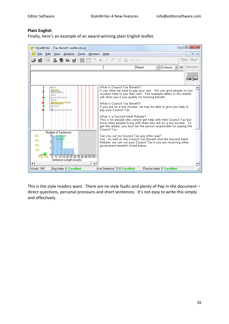#### **Plain English**

Finally, here's an example of an award‐winning plain English leaflet.

| StyleWriter - [Tax Benefit Leaflet.docx]                                                                                             | $\mathbf x$<br>$\vert$ $\vert$<br>$\Box$                                                                                                                                                                                                                                                                                                                                                                                                                                                                                                                                                                                                                                                                                                                                                                                                 |
|--------------------------------------------------------------------------------------------------------------------------------------|------------------------------------------------------------------------------------------------------------------------------------------------------------------------------------------------------------------------------------------------------------------------------------------------------------------------------------------------------------------------------------------------------------------------------------------------------------------------------------------------------------------------------------------------------------------------------------------------------------------------------------------------------------------------------------------------------------------------------------------------------------------------------------------------------------------------------------------|
| <b>K</b> File Edit<br>View Analysis Tools Window                                                                                     | $F \times$<br>Help<br>$\overline{\phantom{0}}$                                                                                                                                                                                                                                                                                                                                                                                                                                                                                                                                                                                                                                                                                                                                                                                           |
|                                                                                                                                      | Prev. Next                                                                                                                                                                                                                                                                                                                                                                                                                                                                                                                                                                                                                                                                                                                                                                                                                               |
|                                                                                                                                      | Resume<br>$\mathbf{v}$   In-house $\mathbf{v}$  <br>Report<br><b>UK</b>                                                                                                                                                                                                                                                                                                                                                                                                                                                                                                                                                                                                                                                                                                                                                                  |
|                                                                                                                                      | <b>Edit Text</b>                                                                                                                                                                                                                                                                                                                                                                                                                                                                                                                                                                                                                                                                                                                                                                                                                         |
| Number of Sentences<br>31<br>200<br>Average<br>Length<br>150<br>2<br>100                                                             | What is Council Tax Benefit?<br>It can often be hard to pay your rent. We can give people on low<br>incomes help to pay their rent. The example tables in this leaflet<br>will show you if you qualify for housing benefit.<br>What is Council Tax Benefit?<br>If you are on a low income, we may be able to give you help to<br>pay your Council Tax.<br>What is a Second Adult Rebate?<br>This is for people who cannot get help with their Council Tax but<br>have other people living with them who are on a low income. To<br>get the rebate, you must be the person responsible for paying the<br>Council Tax.<br>Can you cut my Council Tax any other way?<br>Yes. As well as the Council Tax Benefit and the Second Adult<br>Rebate, we can cut your Council Tax if you are receiving other<br>government benefits listed below. |
| 50<br>$\sqrt{0}$ 5 10 15 20 25 30 35 40 45 50 55+<br>Bog Pep<br>Sentence Length (words)<br>r<br>Words: 149<br>Bog Index: 0 Excellent | Ave Sentence: 12.4 Excellent<br>Passive Index: 0 Excellent                                                                                                                                                                                                                                                                                                                                                                                                                                                                                                                                                                                                                                                                                                                                                                               |

This is the style readers want. There are no style faults and plenty of Pep in the document – direct questions, personal pronouns and short sentences. It's not easy to write this simply and effectively.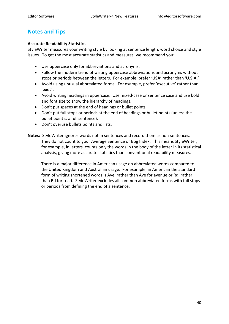### **Notes and Tips**

#### **Accurate Readability Statistics**

StyleWriter measures your writing style by looking at sentence length, word choice and style issues. To get the most accurate statistics and measures, we recommend you:

- Use uppercase only for abbreviations and acronyms.
- Follow the modern trend of writing uppercase abbreviations and acronyms without stops or periods between the letters. For example, prefer '**USA**' rather than '**U.S.A.**'
- Avoid using unusual abbreviated forms. For example, prefer 'executive' rather than '**exec**'**.**
- Avoid writing headings in uppercase. Use mixed‐case or sentence case and use bold and font size to show the hierarchy of headings.
- Don't put spaces at the end of headings or bullet points.
- Don't put full stops or periods at the end of headings or bullet points (unless the bullet point is a full sentence).
- Don't overuse bullets points and lists.
- **Notes:** StyleWriter ignores words not in sentences and record them as non‐sentences. They do not count to your Average Sentence or Bog Index. This means StyleWriter, for example, in letters, counts only the words in the body of the letter in its statistical analysis, giving more accurate statistics than conventional readability measures.

There is a major difference in American usage on abbreviated words compared to the United Kingdom and Australian usage. For example, in American the standard form of writing shortened words is Ave. rather than Ave for avenue or Rd. rather than Rd for road. StyleWriter excludes all common abbreviated forms with full stops or periods from defining the end of a sentence.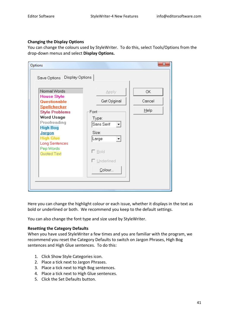#### **Changing the Display Options**

You can change the colours used by StyleWriter. To do this, select Tools/Options from the drop‐down menus and select **Display Options.**

| Save Options  Display Options                                                                                                           |                                                                                        |        |
|-----------------------------------------------------------------------------------------------------------------------------------------|----------------------------------------------------------------------------------------|--------|
| Normal Words                                                                                                                            | Apply                                                                                  | ΟK.    |
| <b>House Style</b><br>Questionable                                                                                                      | Get Original                                                                           | Cancel |
| <b>Spellchecker</b><br><b>Style Problems</b>                                                                                            | Font                                                                                   | Help   |
| <b>Word Usage</b><br>Proofreading<br><b>High Bog</b><br><b>Jargon</b><br><b>High Glue</b><br>Long Sentences<br>Pep Words<br>Quoted Text | Type:<br>Sans Serif<br>$\left  \cdot \right $<br>Size:<br>Large<br>▼<br>$\square$ Bold |        |
|                                                                                                                                         | $\square$ Underlined<br>Colour                                                         |        |

Here you can change the highlight colour or each issue, whether it displays in the text as bold or underlined or both. We recommend you keep to the default settings.

You can also change the font type and size used by StyleWriter.

#### **Resetting the Category Defaults**

When you have used StyleWriter a few times and you are familiar with the program, we recommend you reset the Category Defaults to switch on Jargon Phrases, High Bog sentences and High Glue sentences. To do this:

- 1. Click Show Style Categories icon.
- 2. Place a tick next to Jargon Phrases.
- 3. Place a tick next to High Bog sentences.
- 4. Place a tick next to High Glue sentences.
- 5. Click the Set Defaults button.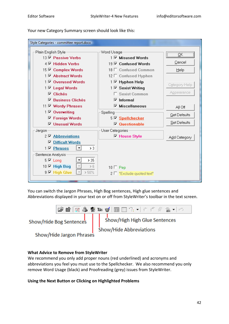Your new Category Summary screen should look like this:

| Style Categories - committee report.docx              |                                    |                     |
|-------------------------------------------------------|------------------------------------|---------------------|
| Plain English Style                                   | Word Usage                         |                     |
| $13\overline{V}$ Passive Verbs                        | 1 ⊠ Misused Words                  |                     |
| 4 Ø Hidden Verbs                                      | 19 区 Confused Words                | Cancel              |
| 15 区 Complex Words                                    | 18 □ Confused Common               | <b>Help</b>         |
| 1 <b><math>\overline{V}</math></b> Abstract Words     | 12 □ Confused Hyphen               |                     |
| 1 区 Overused Words                                    | 1 Ø Hyphen Help                    | Category Help       |
| 1 <b>☑</b> Legal Words                                | 1 M Sexist Writing                 |                     |
| $\nabla$ Clichés                                      | □ Sexist Common                    | Appearance          |
| $\nabla$ Business Clichés                             | $\overline{v}$ Informal            |                     |
| 11 <b>▽</b> Wordy Phrases                             | $\nabla$ Miscellaneous             | All Off             |
| $1 \nabla$ Overwriting                                | Spelling                           | <b>Get Defaults</b> |
| <b>▽ Foreign Words</b>                                | 5 Ø Spellchecker                   |                     |
| $\nabla$ Unusual Words                                | $\nabla$ Questionable              | Set Defaults        |
| Jargon                                                | User Categories                    |                     |
| 2 <b><math>\overline{V}</math></b> Abbreviations      | <b>□ House Style</b>               | Add Category        |
| <b>Difficult Words</b><br>⊽                           |                                    |                     |
| $\geq$ 3<br>$1\nabla$ Phrases<br>$\blacktriangledown$ |                                    |                     |
| Sentence Analysis                                     |                                    |                     |
| > 35<br>$5 \triangleright$ Long                       |                                    |                     |
| 10 M High Bog<br>> 6                                  | $10 \Box$ Pep                      |                     |
| 9 Ø High Glue<br>>50%                                 | 2 <sup>"Exclude</sup> quoted text" |                     |
|                                                       |                                    |                     |

You can switch the Jargon Phrases, High Bog sentences, High glue sentences and Abbreviations displayed in your text on or off from StyleWriter's toolbar in the text screen.



#### **What Advice to Remove from StyleWriter**

We recommend you only add proper nouns (red underlined) and acronyms and abbreviations you feel you must use to the Spellchecker. We also recommend you only remove Word Usage (black) and Proofreading (grey) issues from StyleWriter.

#### **Using the Next Button or Clicking on Highlighted Problems**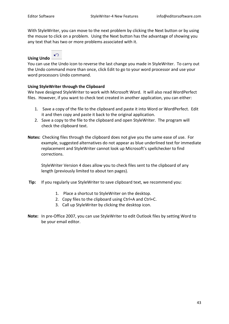With StyleWriter, you can move to the next problem by clicking the Next button or by using the mouse to click on a problem. Using the Next button has the advantage of showing you any text that has two or more problems associated with it.

### **Using Undo**



You can use the Undo icon to reverse the last change you made in StyleWriter. To carry out the Undo command more than once, click Edit to go to your word processor and use your word processors Undo command.

#### **Using StyleWriter through the Clipboard**

We have designed StyleWriter to work with Microsoft Word. It will also read WordPerfect files. However, if you want to check text created in another application, you can either:

- 1. Save a copy of the file to the clipboard and paste it into Word or WordPerfect. Edit it and then copy and paste it back to the original application.
- 2. Save a copy to the file to the clipboard and open StyleWriter. The program will check the clipboard text.
- **Notes:** Checking files through the clipboard does not give you the same ease of use. For example, suggested alternatives do not appear as blue underlined text for immediate replacement and StyleWriter cannot look up Microsoft's spellchecker to find corrections.

StyleWriter Version 4 does allow you to check files sent to the clipboard of any length (previously limited to about ten pages).

- **Tip:** If you regularly use StyleWriter to save clipboard text, we recommend you:
	- 1. Place a shortcut to StyleWriter on the desktop.
	- 2. Copy files to the clipboard using Ctrl+A and Ctrl+C.
	- 3. Call up StyleWriter by clicking the desktop icon.
- **Note:** In pre‐Office 2007, you can use StyleWriter to edit Outlook files by setting Word to be your email editor.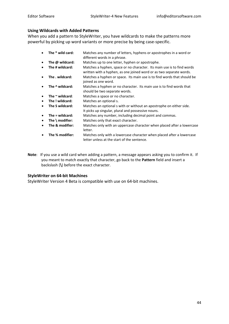#### **Using Wildcards with Added Patterns**

When you add a pattern to StyleWriter, you have wildcards to make the patterns more powerful by picking up word variants or more precise by being case‐specific.

- **The \* wild card:** Matches any number of letters, hyphens or apostrophes in a word or different words in a phrase.
- **The @ wildcard:** Matches up to one letter, hyphen or apostrophe.
- **The # wildcard:** Matches a hyphen, space or no character. Its main use is to find words written with a hyphen, as one joined word or as two separate words.
- **The . wildcard:** Matches a hyphen or space. Its main use is to find words that should be  joined as one word.
- **The ^ wildcard:** Matches a hyphen or no character. Its main use is to find words that
- should be two separate words.
- **The ~ wildcard**: Matches a space or no character.
- **The ! wildcard:** Matches an optional s.
- **The S wildcard:** Matches an optional s with or without an apostrophe on either side. It picks up singular, plural and possessive nouns.
- **The = wildcard:** Matches any number, including decimal point and commas.
- **The \ modifier:** Matches only that exact character.
- **The & modifier:** Matches only with an uppercase character when placed after a lowercase letter.
- **The % modifier:** Matches only with a lowercase character when placed after a lowercase letter unless at the start of the sentence.
- **Note**: If you use a wild card when adding a pattern, a message appears asking you to confirm it. If you meant to match exactly that character, go back to the **Pattern** field and insert a backslash (**\**) before the exact character.

#### **StyleWriter on 64‐bit Machines**

StyleWriter Version 4 Beta is compatible with use on 64‐bit machines.